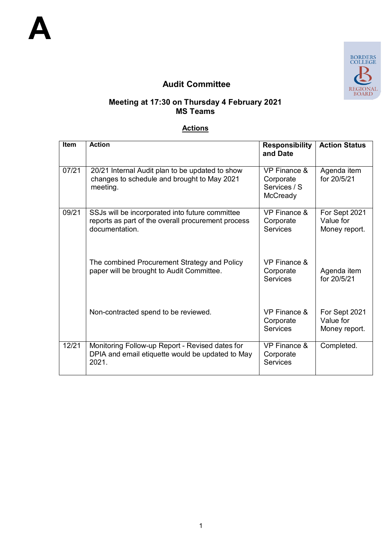

# **Audit Committee**

#### **Meeting at 17:30 on Thursday 4 February 2021 MS Teams**

### **Actions**

| <b>Item</b> | <b>Action</b>                                                                                                           | <b>Responsibility</b><br>and Date                                | <b>Action Status</b>                        |
|-------------|-------------------------------------------------------------------------------------------------------------------------|------------------------------------------------------------------|---------------------------------------------|
| 07/21       | 20/21 Internal Audit plan to be updated to show<br>changes to schedule and brought to May 2021<br>meeting.              | <b>VP Finance &amp;</b><br>Corporate<br>Services / S<br>McCready | Agenda item<br>for 20/5/21                  |
| 09/21       | SSJs will be incorporated into future committee<br>reports as part of the overall procurement process<br>documentation. | <b>VP Finance &amp;</b><br>Corporate<br><b>Services</b>          | For Sept 2021<br>Value for<br>Money report. |
|             | The combined Procurement Strategy and Policy<br>paper will be brought to Audit Committee.                               | VP Finance &<br>Corporate<br><b>Services</b>                     | Agenda item<br>for 20/5/21                  |
|             | Non-contracted spend to be reviewed.                                                                                    | VP Finance &<br>Corporate<br><b>Services</b>                     | For Sept 2021<br>Value for<br>Money report. |
| 12/21       | Monitoring Follow-up Report - Revised dates for<br>DPIA and email etiquette would be updated to May<br>2021.            | <b>VP Finance &amp;</b><br>Corporate<br><b>Services</b>          | Completed.                                  |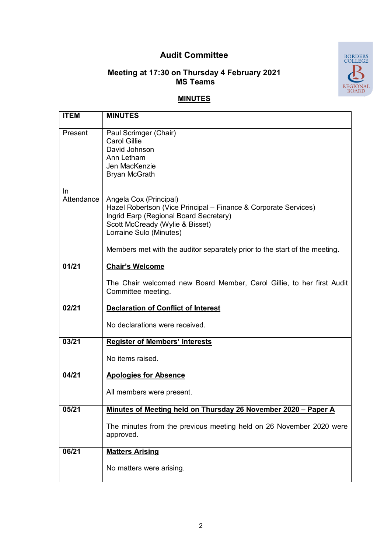## **Audit Committee**



#### **Meeting at 17:30 on Thursday 4 February 2021 MS Teams**

### **MINUTES**

| <b>ITEM</b>             | <b>MINUTES</b>                                                                                                                                                                                    |
|-------------------------|---------------------------------------------------------------------------------------------------------------------------------------------------------------------------------------------------|
| Present                 | Paul Scrimger (Chair)<br><b>Carol Gillie</b><br>David Johnson<br>Ann Letham<br>Jen MacKenzie<br><b>Bryan McGrath</b>                                                                              |
| <b>In</b><br>Attendance | Angela Cox (Principal)<br>Hazel Robertson (Vice Principal – Finance & Corporate Services)<br>Ingrid Earp (Regional Board Secretary)<br>Scott McCready (Wylie & Bisset)<br>Lorraine Sulo (Minutes) |
|                         | Members met with the auditor separately prior to the start of the meeting.                                                                                                                        |
| 01/21                   | <b>Chair's Welcome</b><br>The Chair welcomed new Board Member, Carol Gillie, to her first Audit<br>Committee meeting.                                                                             |
| 02/21                   | <b>Declaration of Conflict of Interest</b><br>No declarations were received.                                                                                                                      |
| 03/21                   | <b>Register of Members' Interests</b><br>No items raised.                                                                                                                                         |
| 04/21                   | <b>Apologies for Absence</b><br>All members were present.                                                                                                                                         |
| 05/21                   | Minutes of Meeting held on Thursday 26 November 2020 - Paper A<br>The minutes from the previous meeting held on 26 November 2020 were<br>approved.                                                |
| 06/21                   | <b>Matters Arising</b><br>No matters were arising.                                                                                                                                                |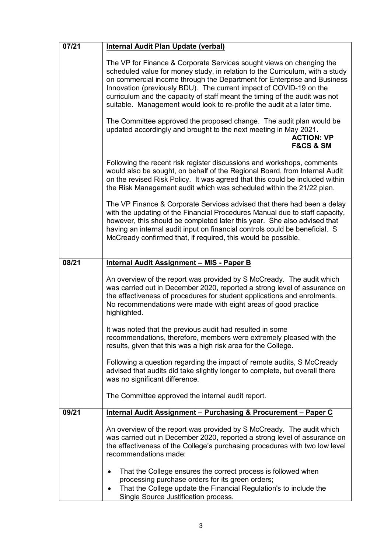| 07/21 | <b>Internal Audit Plan Update (verbal)</b>                                                                                                                                                                                                                                                                                                                                                                                                                                                                                                                                                                                                                  |  |
|-------|-------------------------------------------------------------------------------------------------------------------------------------------------------------------------------------------------------------------------------------------------------------------------------------------------------------------------------------------------------------------------------------------------------------------------------------------------------------------------------------------------------------------------------------------------------------------------------------------------------------------------------------------------------------|--|
|       | The VP for Finance & Corporate Services sought views on changing the<br>scheduled value for money study, in relation to the Curriculum, with a study<br>on commercial income through the Department for Enterprise and Business<br>Innovation (previously BDU). The current impact of COVID-19 on the<br>curriculum and the capacity of staff meant the timing of the audit was not<br>suitable. Management would look to re-profile the audit at a later time.<br>The Committee approved the proposed change. The audit plan would be<br>updated accordingly and brought to the next meeting in May 2021.<br><b>ACTION: VP</b><br><b>F&amp;CS &amp; SM</b> |  |
|       |                                                                                                                                                                                                                                                                                                                                                                                                                                                                                                                                                                                                                                                             |  |
|       | Following the recent risk register discussions and workshops, comments<br>would also be sought, on behalf of the Regional Board, from Internal Audit<br>on the revised Risk Policy. It was agreed that this could be included within<br>the Risk Management audit which was scheduled within the 21/22 plan.                                                                                                                                                                                                                                                                                                                                                |  |
|       | The VP Finance & Corporate Services advised that there had been a delay<br>with the updating of the Financial Procedures Manual due to staff capacity,<br>however, this should be completed later this year. She also advised that<br>having an internal audit input on financial controls could be beneficial. S<br>McCready confirmed that, if required, this would be possible.                                                                                                                                                                                                                                                                          |  |
| 08/21 | <b>Internal Audit Assignment - MIS - Paper B</b>                                                                                                                                                                                                                                                                                                                                                                                                                                                                                                                                                                                                            |  |
|       | An overview of the report was provided by S McCready. The audit which<br>was carried out in December 2020, reported a strong level of assurance on<br>the effectiveness of procedures for student applications and enrolments.<br>No recommendations were made with eight areas of good practice<br>highlighted.                                                                                                                                                                                                                                                                                                                                            |  |
|       | It was noted that the previous audit had resulted in some<br>recommendations, therefore, members were extremely pleased with the<br>results, given that this was a high risk area for the College.                                                                                                                                                                                                                                                                                                                                                                                                                                                          |  |
|       | Following a question regarding the impact of remote audits, S McCready<br>advised that audits did take slightly longer to complete, but overall there<br>was no significant difference.                                                                                                                                                                                                                                                                                                                                                                                                                                                                     |  |
|       | The Committee approved the internal audit report.                                                                                                                                                                                                                                                                                                                                                                                                                                                                                                                                                                                                           |  |
| 09/21 | Internal Audit Assignment - Purchasing & Procurement - Paper C                                                                                                                                                                                                                                                                                                                                                                                                                                                                                                                                                                                              |  |
|       | An overview of the report was provided by S McCready. The audit which<br>was carried out in December 2020, reported a strong level of assurance on<br>the effectiveness of the College's purchasing procedures with two low level<br>recommendations made:                                                                                                                                                                                                                                                                                                                                                                                                  |  |
|       | That the College ensures the correct process is followed when<br>$\bullet$<br>processing purchase orders for its green orders;<br>That the College update the Financial Regulation's to include the<br>٠<br>Single Source Justification process.                                                                                                                                                                                                                                                                                                                                                                                                            |  |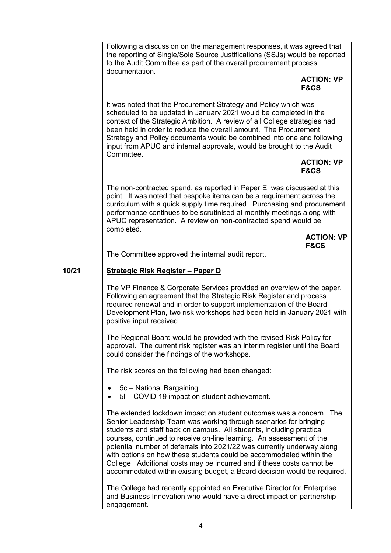|       | Following a discussion on the management responses, it was agreed that<br>the reporting of Single/Sole Source Justifications (SSJs) would be reported<br>to the Audit Committee as part of the overall procurement process<br>documentation.                                                                                                                                                                                                                                                                                                                                                     |
|-------|--------------------------------------------------------------------------------------------------------------------------------------------------------------------------------------------------------------------------------------------------------------------------------------------------------------------------------------------------------------------------------------------------------------------------------------------------------------------------------------------------------------------------------------------------------------------------------------------------|
|       | <b>ACTION: VP</b><br><b>F&amp;CS</b>                                                                                                                                                                                                                                                                                                                                                                                                                                                                                                                                                             |
|       | It was noted that the Procurement Strategy and Policy which was<br>scheduled to be updated in January 2021 would be completed in the<br>context of the Strategic Ambition. A review of all College strategies had<br>been held in order to reduce the overall amount. The Procurement<br>Strategy and Policy documents would be combined into one and following<br>input from APUC and internal approvals, would be brought to the Audit<br>Committee.                                                                                                                                           |
|       | <b>ACTION: VP</b><br><b>F&amp;CS</b>                                                                                                                                                                                                                                                                                                                                                                                                                                                                                                                                                             |
|       | The non-contracted spend, as reported in Paper E, was discussed at this<br>point. It was noted that bespoke items can be a requirement across the<br>curriculum with a quick supply time required. Purchasing and procurement<br>performance continues to be scrutinised at monthly meetings along with<br>APUC representation. A review on non-contracted spend would be<br>completed.                                                                                                                                                                                                          |
|       | <b>ACTION: VP</b><br><b>F&amp;CS</b>                                                                                                                                                                                                                                                                                                                                                                                                                                                                                                                                                             |
|       | The Committee approved the internal audit report.                                                                                                                                                                                                                                                                                                                                                                                                                                                                                                                                                |
| 10/21 | <b>Strategic Risk Register - Paper D</b>                                                                                                                                                                                                                                                                                                                                                                                                                                                                                                                                                         |
|       | The VP Finance & Corporate Services provided an overview of the paper.<br>Following an agreement that the Strategic Risk Register and process<br>required renewal and in order to support implementation of the Board<br>Development Plan, two risk workshops had been held in January 2021 with<br>positive input received.                                                                                                                                                                                                                                                                     |
|       | The Regional Board would be provided with the revised Risk Policy for<br>approval. The current risk register was an interim register until the Board<br>could consider the findings of the workshops.                                                                                                                                                                                                                                                                                                                                                                                            |
|       | The risk scores on the following had been changed:                                                                                                                                                                                                                                                                                                                                                                                                                                                                                                                                               |
|       | 5c - National Bargaining.<br>5I - COVID-19 impact on student achievement.                                                                                                                                                                                                                                                                                                                                                                                                                                                                                                                        |
|       | The extended lockdown impact on student outcomes was a concern. The<br>Senior Leadership Team was working through scenarios for bringing<br>students and staff back on campus. All students, including practical<br>courses, continued to receive on-line learning. An assessment of the<br>potential number of deferrals into 2021/22 was currently underway along<br>with options on how these students could be accommodated within the<br>College. Additional costs may be incurred and if these costs cannot be<br>accommodated within existing budget, a Board decision would be required. |
|       | The College had recently appointed an Executive Director for Enterprise<br>and Business Innovation who would have a direct impact on partnership<br>engagement.                                                                                                                                                                                                                                                                                                                                                                                                                                  |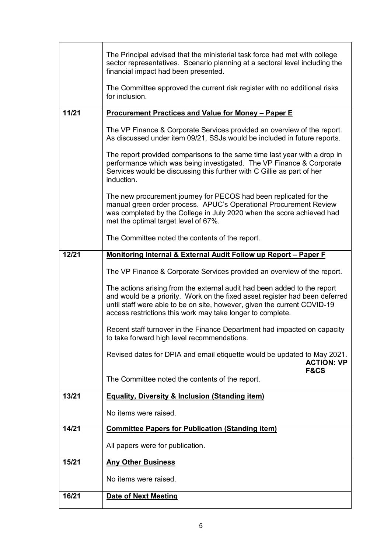|                                                                                                                                                                                                                                                                                                   | The Principal advised that the ministerial task force had met with college<br>sector representatives. Scenario planning at a sectoral level including the<br>financial impact had been presented.                                                       |  |
|---------------------------------------------------------------------------------------------------------------------------------------------------------------------------------------------------------------------------------------------------------------------------------------------------|---------------------------------------------------------------------------------------------------------------------------------------------------------------------------------------------------------------------------------------------------------|--|
|                                                                                                                                                                                                                                                                                                   | The Committee approved the current risk register with no additional risks<br>for inclusion.                                                                                                                                                             |  |
| 11/21                                                                                                                                                                                                                                                                                             | <b>Procurement Practices and Value for Money - Paper E</b>                                                                                                                                                                                              |  |
|                                                                                                                                                                                                                                                                                                   | The VP Finance & Corporate Services provided an overview of the report.<br>As discussed under item 09/21, SSJs would be included in future reports.                                                                                                     |  |
|                                                                                                                                                                                                                                                                                                   | The report provided comparisons to the same time last year with a drop in<br>performance which was being investigated. The VP Finance & Corporate<br>Services would be discussing this further with C Gillie as part of her<br>induction.               |  |
|                                                                                                                                                                                                                                                                                                   | The new procurement journey for PECOS had been replicated for the<br>manual green order process. APUC's Operational Procurement Review<br>was completed by the College in July 2020 when the score achieved had<br>met the optimal target level of 67%. |  |
|                                                                                                                                                                                                                                                                                                   | The Committee noted the contents of the report.                                                                                                                                                                                                         |  |
| 12/21                                                                                                                                                                                                                                                                                             | Monitoring Internal & External Audit Follow up Report - Paper F                                                                                                                                                                                         |  |
|                                                                                                                                                                                                                                                                                                   | The VP Finance & Corporate Services provided an overview of the report.                                                                                                                                                                                 |  |
| The actions arising from the external audit had been added to the report<br>and would be a priority. Work on the fixed asset register had been deferred<br>until staff were able to be on site, however, given the current COVID-19<br>access restrictions this work may take longer to complete. |                                                                                                                                                                                                                                                         |  |
|                                                                                                                                                                                                                                                                                                   | Recent staff turnover in the Finance Department had impacted on capacity<br>to take forward high level recommendations.                                                                                                                                 |  |
|                                                                                                                                                                                                                                                                                                   | Revised dates for DPIA and email etiquette would be updated to May 2021.<br><b>ACTION: VP</b><br><b>F&amp;CS</b>                                                                                                                                        |  |
|                                                                                                                                                                                                                                                                                                   | The Committee noted the contents of the report.                                                                                                                                                                                                         |  |
| 13/21                                                                                                                                                                                                                                                                                             | <b>Equality, Diversity &amp; Inclusion (Standing item)</b>                                                                                                                                                                                              |  |
|                                                                                                                                                                                                                                                                                                   | No items were raised.                                                                                                                                                                                                                                   |  |
| 14/21                                                                                                                                                                                                                                                                                             | <b>Committee Papers for Publication (Standing item)</b>                                                                                                                                                                                                 |  |
|                                                                                                                                                                                                                                                                                                   | All papers were for publication.                                                                                                                                                                                                                        |  |
| 15/21                                                                                                                                                                                                                                                                                             | <b>Any Other Business</b>                                                                                                                                                                                                                               |  |
|                                                                                                                                                                                                                                                                                                   | No items were raised.                                                                                                                                                                                                                                   |  |
| 16/21                                                                                                                                                                                                                                                                                             | <b>Date of Next Meeting</b>                                                                                                                                                                                                                             |  |